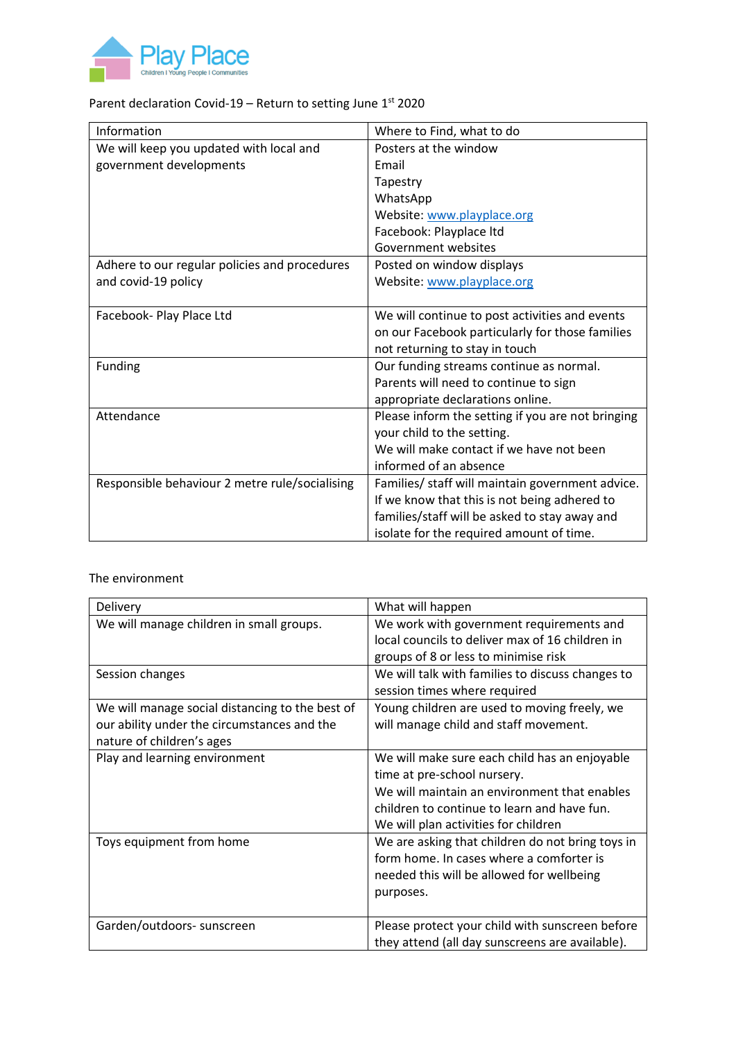

## Parent declaration Covid-19 – Return to setting June  $1^{st}$  2020

| Information                                    | Where to Find, what to do                         |
|------------------------------------------------|---------------------------------------------------|
| We will keep you updated with local and        | Posters at the window                             |
| government developments                        | Email                                             |
|                                                | Tapestry                                          |
|                                                | WhatsApp                                          |
|                                                | Website: www.playplace.org                        |
|                                                | Facebook: Playplace Itd                           |
|                                                | Government websites                               |
| Adhere to our regular policies and procedures  | Posted on window displays                         |
| and covid-19 policy                            | Website: www.playplace.org                        |
|                                                |                                                   |
| Facebook- Play Place Ltd                       | We will continue to post activities and events    |
|                                                | on our Facebook particularly for those families   |
|                                                | not returning to stay in touch                    |
| Funding                                        | Our funding streams continue as normal.           |
|                                                | Parents will need to continue to sign             |
|                                                | appropriate declarations online.                  |
| Attendance                                     | Please inform the setting if you are not bringing |
|                                                | your child to the setting.                        |
|                                                | We will make contact if we have not been          |
|                                                | informed of an absence                            |
| Responsible behaviour 2 metre rule/socialising | Families/ staff will maintain government advice.  |
|                                                | If we know that this is not being adhered to      |
|                                                | families/staff will be asked to stay away and     |
|                                                | isolate for the required amount of time.          |

## The environment

| Delivery                                                                                                                    | What will happen                                                                                                                                                                                                    |
|-----------------------------------------------------------------------------------------------------------------------------|---------------------------------------------------------------------------------------------------------------------------------------------------------------------------------------------------------------------|
| We will manage children in small groups.                                                                                    | We work with government requirements and<br>local councils to deliver max of 16 children in<br>groups of 8 or less to minimise risk                                                                                 |
| Session changes                                                                                                             | We will talk with families to discuss changes to<br>session times where required                                                                                                                                    |
| We will manage social distancing to the best of<br>our ability under the circumstances and the<br>nature of children's ages | Young children are used to moving freely, we<br>will manage child and staff movement.                                                                                                                               |
| Play and learning environment                                                                                               | We will make sure each child has an enjoyable<br>time at pre-school nursery.<br>We will maintain an environment that enables<br>children to continue to learn and have fun.<br>We will plan activities for children |
| Toys equipment from home                                                                                                    | We are asking that children do not bring toys in<br>form home. In cases where a comforter is<br>needed this will be allowed for wellbeing<br>purposes.                                                              |
| Garden/outdoors- sunscreen                                                                                                  | Please protect your child with sunscreen before<br>they attend (all day sunscreens are available).                                                                                                                  |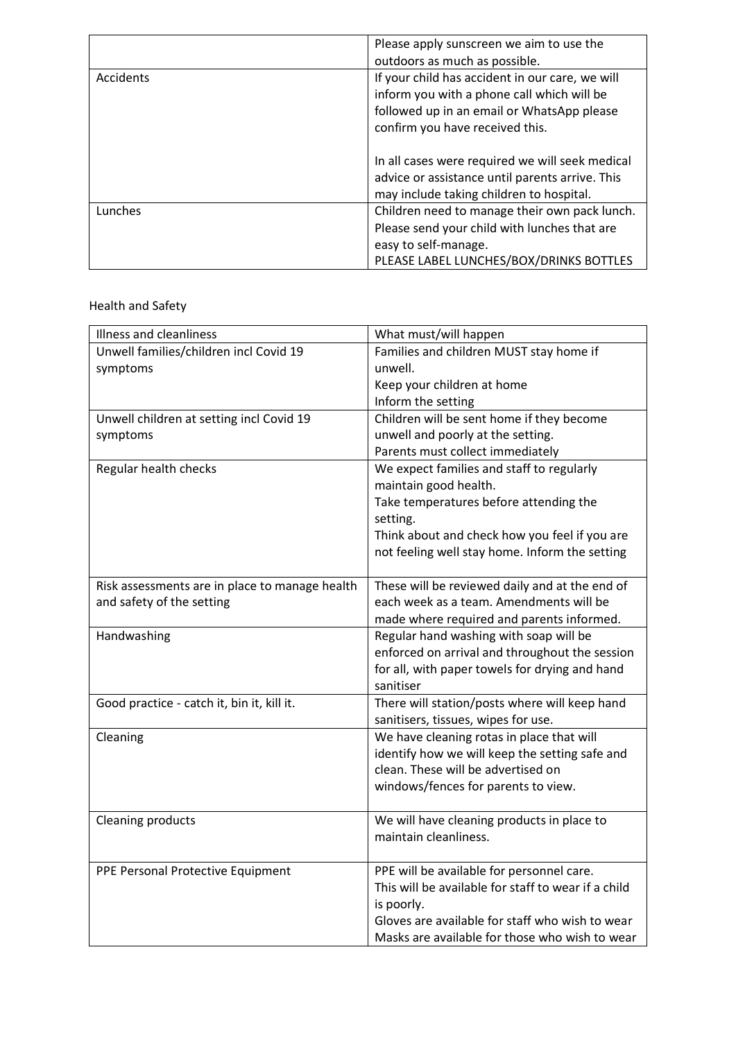|           | Please apply sunscreen we aim to use the                                                                                                                                       |
|-----------|--------------------------------------------------------------------------------------------------------------------------------------------------------------------------------|
|           | outdoors as much as possible.                                                                                                                                                  |
| Accidents | If your child has accident in our care, we will<br>inform you with a phone call which will be<br>followed up in an email or WhatsApp please<br>confirm you have received this. |
|           | In all cases were required we will seek medical<br>advice or assistance until parents arrive. This<br>may include taking children to hospital.                                 |
| Lunches   | Children need to manage their own pack lunch.<br>Please send your child with lunches that are<br>easy to self-manage.<br>PLEASE LABEL LUNCHES/BOX/DRINKS BOTTLES               |

Health and Safety

| Illness and cleanliness                        | What must/will happen                               |
|------------------------------------------------|-----------------------------------------------------|
| Unwell families/children incl Covid 19         | Families and children MUST stay home if             |
| symptoms                                       | unwell.                                             |
|                                                | Keep your children at home                          |
|                                                | Inform the setting                                  |
| Unwell children at setting incl Covid 19       | Children will be sent home if they become           |
| symptoms                                       | unwell and poorly at the setting.                   |
|                                                | Parents must collect immediately                    |
| Regular health checks                          | We expect families and staff to regularly           |
|                                                | maintain good health.                               |
|                                                | Take temperatures before attending the              |
|                                                | setting.                                            |
|                                                | Think about and check how you feel if you are       |
|                                                | not feeling well stay home. Inform the setting      |
|                                                |                                                     |
| Risk assessments are in place to manage health | These will be reviewed daily and at the end of      |
| and safety of the setting                      | each week as a team. Amendments will be             |
|                                                | made where required and parents informed.           |
| Handwashing                                    | Regular hand washing with soap will be              |
|                                                | enforced on arrival and throughout the session      |
|                                                | for all, with paper towels for drying and hand      |
|                                                | sanitiser                                           |
| Good practice - catch it, bin it, kill it.     | There will station/posts where will keep hand       |
|                                                | sanitisers, tissues, wipes for use.                 |
| Cleaning                                       | We have cleaning rotas in place that will           |
|                                                | identify how we will keep the setting safe and      |
|                                                | clean. These will be advertised on                  |
|                                                | windows/fences for parents to view.                 |
| <b>Cleaning products</b>                       | We will have cleaning products in place to          |
|                                                | maintain cleanliness.                               |
|                                                |                                                     |
| PPE Personal Protective Equipment              | PPE will be available for personnel care.           |
|                                                | This will be available for staff to wear if a child |
|                                                | is poorly.                                          |
|                                                | Gloves are available for staff who wish to wear     |
|                                                | Masks are available for those who wish to wear      |